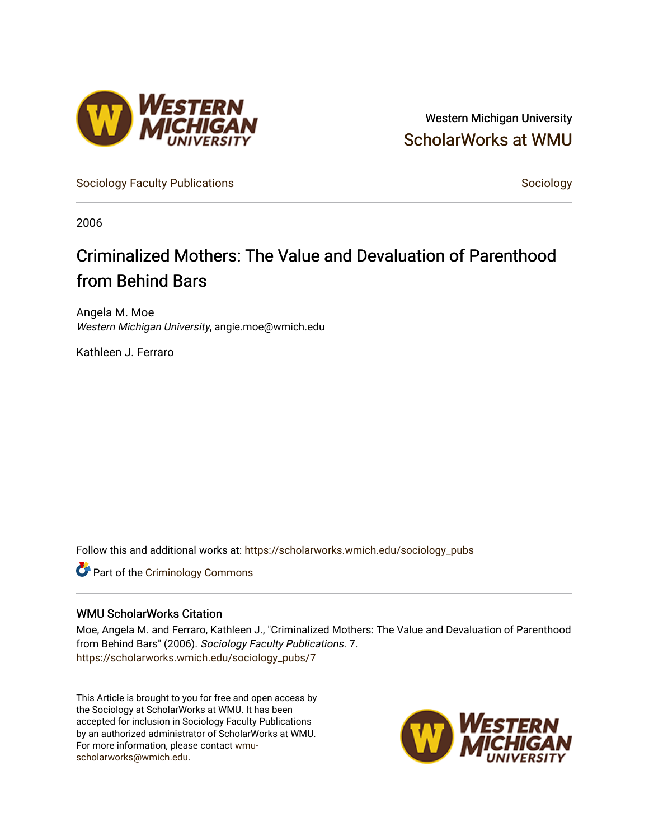# Western Michigan University [ScholarWorks at WMU](https://scholarworks.wmich.edu/)

[Sociology Faculty Publications](https://scholarworks.wmich.edu/sociology_pubs) and [Sociology](https://scholarworks.wmich.edu/sociology) Sociology Sociology

2006

# Criminalized Mothers: The Value and Devaluation of Parenthood from Behind Bars

Angela M. Moe Western Michigan University, angie.moe@wmich.edu

Kathleen J. Ferraro

Follow this and additional works at: [https://scholarworks.wmich.edu/sociology\\_pubs](https://scholarworks.wmich.edu/sociology_pubs?utm_source=scholarworks.wmich.edu%2Fsociology_pubs%2F7&utm_medium=PDF&utm_campaign=PDFCoverPages)

**Part of the Criminology Commons** 

# WMU ScholarWorks Citation

Moe, Angela M. and Ferraro, Kathleen J., "Criminalized Mothers: The Value and Devaluation of Parenthood from Behind Bars" (2006). Sociology Faculty Publications. 7. [https://scholarworks.wmich.edu/sociology\\_pubs/7](https://scholarworks.wmich.edu/sociology_pubs/7?utm_source=scholarworks.wmich.edu%2Fsociology_pubs%2F7&utm_medium=PDF&utm_campaign=PDFCoverPages)

This Article is brought to you for free and open access by the Sociology at ScholarWorks at WMU. It has been accepted for inclusion in Sociology Faculty Publications by an authorized administrator of ScholarWorks at WMU. For more information, please contact [wmu](mailto:wmu-scholarworks@wmich.edu)[scholarworks@wmich.edu.](mailto:wmu-scholarworks@wmich.edu)



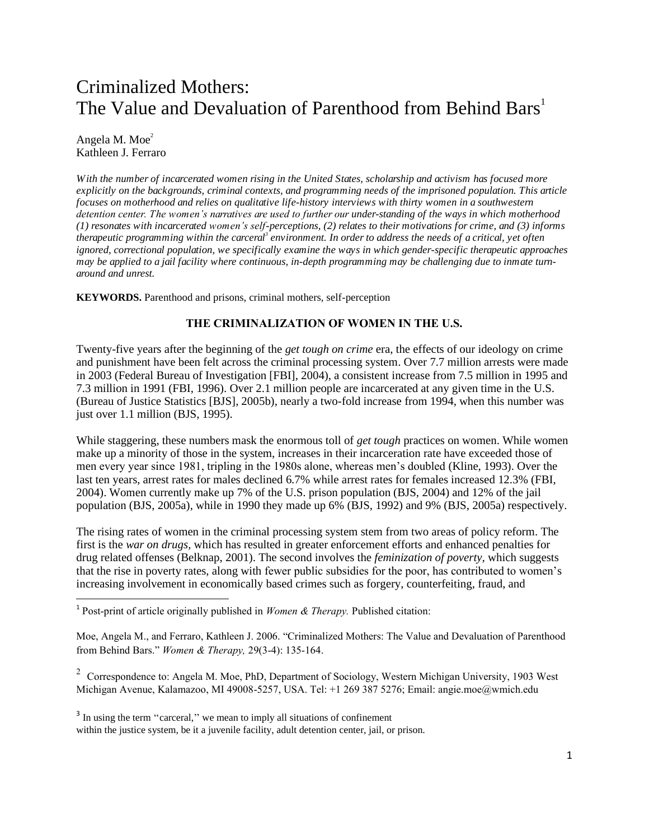# Criminalized Mothers: The Value and Devaluation of Parenthood from Behind Bars<sup>1</sup>

Angela M. Moe $<sup>2</sup>$ </sup> Kathleen J. Ferraro

*With the number of incarcerated women rising in the United States, scholarship and activism has focused more explicitly on the backgrounds, criminal contexts, and programming needs of the imprisoned population. This article focuses on motherhood and relies on qualitative life-history interviews with thirty women in a southwestern detention center. The women's narratives are used to further our under-standing of the ways in which motherhood (1) resonates with incarcerated women's self-perceptions, (2) relates to their motivations for crime, and (3) informs therapeutic programming within the carceral<sup>3</sup> environment. In order to address the needs of a critical, yet often ignored, correctional population, we specifically examine the ways in which gender-specific therapeutic approaches may be applied to a jail facility where continuous, in-depth programming may be challenging due to inmate turnaround and unrest.* 

**KEYWORDS.** Parenthood and prisons, criminal mothers, self-perception

# **THE CRIMINALIZATION OF WOMEN IN THE U.S.**

Twenty-five years after the beginning of the *get tough on crime* era, the effects of our ideology on crime and punishment have been felt across the criminal processing system. Over 7.7 million arrests were made in 2003 (Federal Bureau of Investigation [FBI], 2004), a consistent increase from 7.5 million in 1995 and 7.3 million in 1991 (FBI, 1996). Over 2.1 million people are incarcerated at any given time in the U.S. (Bureau of Justice Statistics [BJS], 2005b), nearly a two-fold increase from 1994, when this number was just over 1.1 million (BJS, 1995).

While staggering, these numbers mask the enormous toll of *get tough* practices on women. While women make up a minority of those in the system, increases in their incarceration rate have exceeded those of men every year since 1981, tripling in the 1980s alone, whereas men's doubled (Kline, 1993). Over the last ten years, arrest rates for males declined 6.7% while arrest rates for females increased 12.3% (FBI, 2004). Women currently make up 7% of the U.S. prison population (BJS, 2004) and 12% of the jail population (BJS, 2005a), while in 1990 they made up 6% (BJS, 1992) and 9% (BJS, 2005a) respectively.

The rising rates of women in the criminal processing system stem from two areas of policy reform. The first is the *war on drugs,* which has resulted in greater enforcement efforts and enhanced penalties for drug related offenses (Belknap, 2001). The second involves the *feminization of poverty,* which suggests that the rise in poverty rates, along with fewer public subsidies for the poor, has contributed to women's increasing involvement in economically based crimes such as forgery, counterfeiting, fraud, and

Moe, Angela M., and Ferraro, Kathleen J. 2006. "Criminalized Mothers: The Value and Devaluation of Parenthood from Behind Bars." *Women & Therapy,* 29(3-4): 135-164.

<sup>2</sup> Correspondence to: Angela M. Moe, PhD, Department of Sociology, Western Michigan University, 1903 West Michigan Avenue, Kalamazoo, MI 49008-5257, USA. Tel: +1 269 387 5276; Email: angie.moe@wmich.edu

 $3$  In using the term "carceral," we mean to imply all situations of confinement within the justice system, be it a juvenile facility, adult detention center, jail, or prison.

 1 Post-print of article originally published in *Women & Therapy.* Published citation: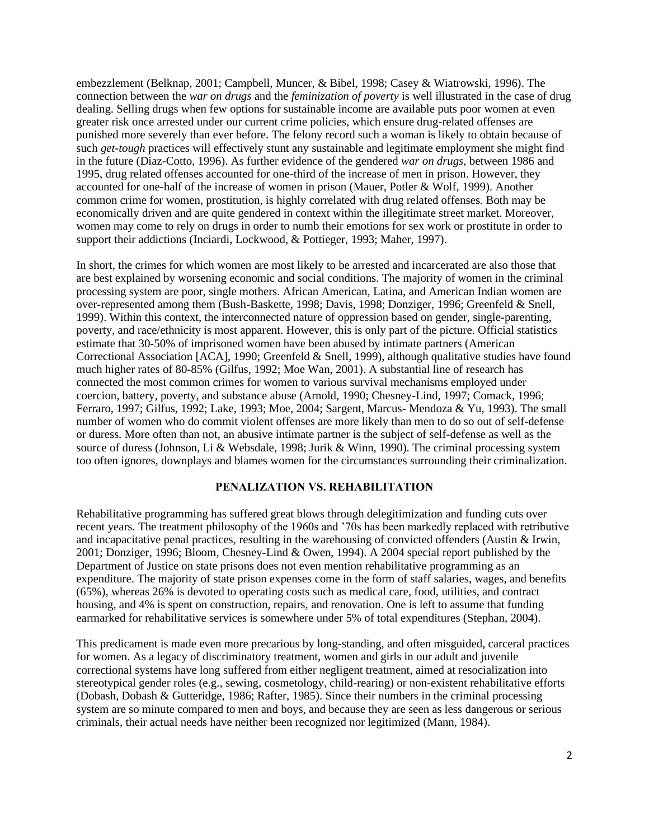embezzlement (Belknap, 2001; Campbell, Muncer, & Bibel, 1998; Casey & Wiatrowski, 1996). The connection between the *war on drugs* and the *feminization of poverty* is well illustrated in the case of drug dealing. Selling drugs when few options for sustainable income are available puts poor women at even greater risk once arrested under our current crime policies, which ensure drug-related offenses are punished more severely than ever before. The felony record such a woman is likely to obtain because of such *get-tough* practices will effectively stunt any sustainable and legitimate employment she might find in the future (Diaz-Cotto, 1996). As further evidence of the gendered *war on drugs*, between 1986 and 1995, drug related offenses accounted for one-third of the increase of men in prison. However, they accounted for one-half of the increase of women in prison (Mauer, Potler & Wolf, 1999). Another common crime for women, prostitution, is highly correlated with drug related offenses. Both may be economically driven and are quite gendered in context within the illegitimate street market. Moreover, women may come to rely on drugs in order to numb their emotions for sex work or prostitute in order to support their addictions (Inciardi, Lockwood, & Pottieger, 1993; Maher, 1997).

In short, the crimes for which women are most likely to be arrested and incarcerated are also those that are best explained by worsening economic and social conditions. The majority of women in the criminal processing system are poor, single mothers. African American, Latina, and American Indian women are over-represented among them (Bush-Baskette, 1998; Davis, 1998; Donziger, 1996; Greenfeld & Snell, 1999). Within this context, the interconnected nature of oppression based on gender, single-parenting, poverty, and race/ethnicity is most apparent. However, this is only part of the picture. Official statistics estimate that 30-50% of imprisoned women have been abused by intimate partners (American Correctional Association [ACA], 1990; Greenfeld & Snell, 1999), although qualitative studies have found much higher rates of 80-85% (Gilfus, 1992; Moe Wan, 2001). A substantial line of research has connected the most common crimes for women to various survival mechanisms employed under coercion, battery, poverty, and substance abuse (Arnold, 1990; Chesney-Lind, 1997; Comack, 1996; Ferraro, 1997; Gilfus, 1992; Lake, 1993; Moe, 2004; Sargent, Marcus- Mendoza & Yu, 1993). The small number of women who do commit violent offenses are more likely than men to do so out of self-defense or duress. More often than not, an abusive intimate partner is the subject of self-defense as well as the source of duress (Johnson, Li & Websdale, 1998; Jurik & Winn, 1990). The criminal processing system too often ignores, downplays and blames women for the circumstances surrounding their criminalization.

### **PENALIZATION VS. REHABILITATION**

Rehabilitative programming has suffered great blows through delegitimization and funding cuts over recent years. The treatment philosophy of the 1960s and '70s has been markedly replaced with retributive and incapacitative penal practices, resulting in the warehousing of convicted offenders (Austin & Irwin, 2001; Donziger, 1996; Bloom, Chesney-Lind & Owen, 1994). A 2004 special report published by the Department of Justice on state prisons does not even mention rehabilitative programming as an expenditure. The majority of state prison expenses come in the form of staff salaries, wages, and benefits (65%), whereas 26% is devoted to operating costs such as medical care, food, utilities, and contract housing, and 4% is spent on construction, repairs, and renovation. One is left to assume that funding earmarked for rehabilitative services is somewhere under 5% of total expenditures (Stephan, 2004).

This predicament is made even more precarious by long-standing, and often misguided, carceral practices for women. As a legacy of discriminatory treatment, women and girls in our adult and juvenile correctional systems have long suffered from either negligent treatment, aimed at resocialization into stereotypical gender roles (e.g., sewing, cosmetology, child-rearing) or non-existent rehabilitative efforts (Dobash, Dobash & Gutteridge, 1986; Rafter, 1985). Since their numbers in the criminal processing system are so minute compared to men and boys, and because they are seen as less dangerous or serious criminals, their actual needs have neither been recognized nor legitimized (Mann, 1984).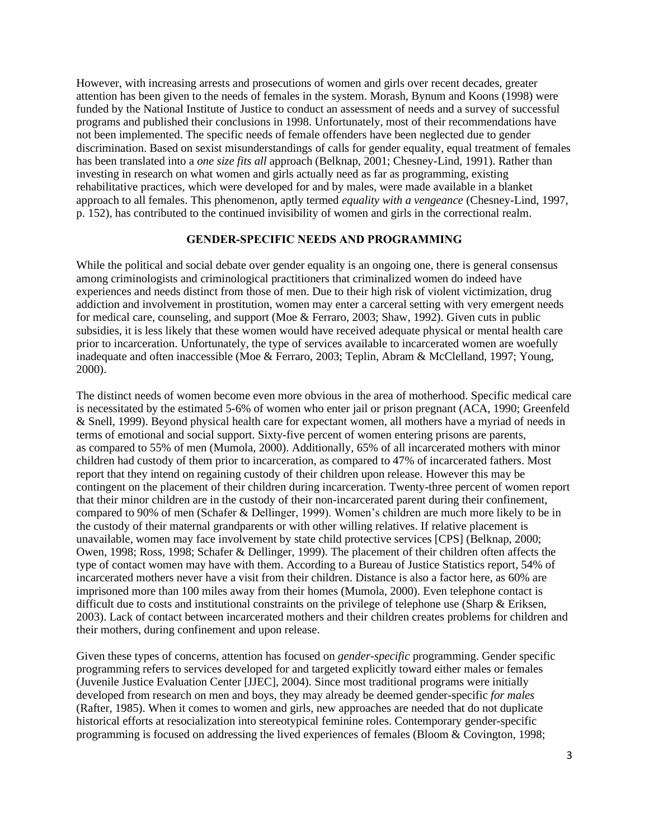However, with increasing arrests and prosecutions of women and girls over recent decades, greater attention has been given to the needs of females in the system. Morash, Bynum and Koons (1998) were funded by the National Institute of Justice to conduct an assessment of needs and a survey of successful programs and published their conclusions in 1998. Unfortunately, most of their recommendations have not been implemented. The specific needs of female offenders have been neglected due to gender discrimination. Based on sexist misunderstandings of calls for gender equality, equal treatment of females has been translated into a *one size fits all* approach (Belknap, 2001; Chesney-Lind, 1991). Rather than investing in research on what women and girls actually need as far as programming, existing rehabilitative practices, which were developed for and by males, were made available in a blanket approach to all females. This phenomenon, aptly termed *equality with a vengeance* (Chesney-Lind, 1997, p. 152), has contributed to the continued invisibility of women and girls in the correctional realm.

# **GENDER-SPECIFIC NEEDS AND PROGRAMMING**

While the political and social debate over gender equality is an ongoing one, there is general consensus among criminologists and criminological practitioners that criminalized women do indeed have experiences and needs distinct from those of men. Due to their high risk of violent victimization, drug addiction and involvement in prostitution, women may enter a carceral setting with very emergent needs for medical care, counseling, and support (Moe & Ferraro, 2003; Shaw, 1992). Given cuts in public subsidies, it is less likely that these women would have received adequate physical or mental health care prior to incarceration. Unfortunately, the type of services available to incarcerated women are woefully inadequate and often inaccessible (Moe & Ferraro, 2003; Teplin, Abram & McClelland, 1997; Young, 2000).

The distinct needs of women become even more obvious in the area of motherhood. Specific medical care is necessitated by the estimated 5-6% of women who enter jail or prison pregnant (ACA, 1990; Greenfeld & Snell, 1999). Beyond physical health care for expectant women, all mothers have a myriad of needs in terms of emotional and social support. Sixty-five percent of women entering prisons are parents, as compared to 55% of men (Mumola, 2000). Additionally, 65% of all incarcerated mothers with minor children had custody of them prior to incarceration, as compared to 47% of incarcerated fathers. Most report that they intend on regaining custody of their children upon release. However this may be contingent on the placement of their children during incarceration. Twenty-three percent of women report that their minor children are in the custody of their non-incarcerated parent during their confinement, compared to 90% of men (Schafer & Dellinger, 1999). Women's children are much more likely to be in the custody of their maternal grandparents or with other willing relatives. If relative placement is unavailable, women may face involvement by state child protective services [CPS] (Belknap, 2000; Owen, 1998; Ross, 1998; Schafer & Dellinger, 1999). The placement of their children often affects the type of contact women may have with them. According to a Bureau of Justice Statistics report, 54% of incarcerated mothers never have a visit from their children. Distance is also a factor here, as 60% are imprisoned more than 100 miles away from their homes (Mumola, 2000). Even telephone contact is difficult due to costs and institutional constraints on the privilege of telephone use (Sharp & Eriksen, 2003). Lack of contact between incarcerated mothers and their children creates problems for children and their mothers, during confinement and upon release.

Given these types of concerns, attention has focused on *gender-specific* programming. Gender specific programming refers to services developed for and targeted explicitly toward either males or females (Juvenile Justice Evaluation Center [JJEC], 2004). Since most traditional programs were initially developed from research on men and boys, they may already be deemed gender-specific *for males*  (Rafter, 1985). When it comes to women and girls, new approaches are needed that do not duplicate historical efforts at resocialization into stereotypical feminine roles. Contemporary gender-specific programming is focused on addressing the lived experiences of females (Bloom & Covington, 1998;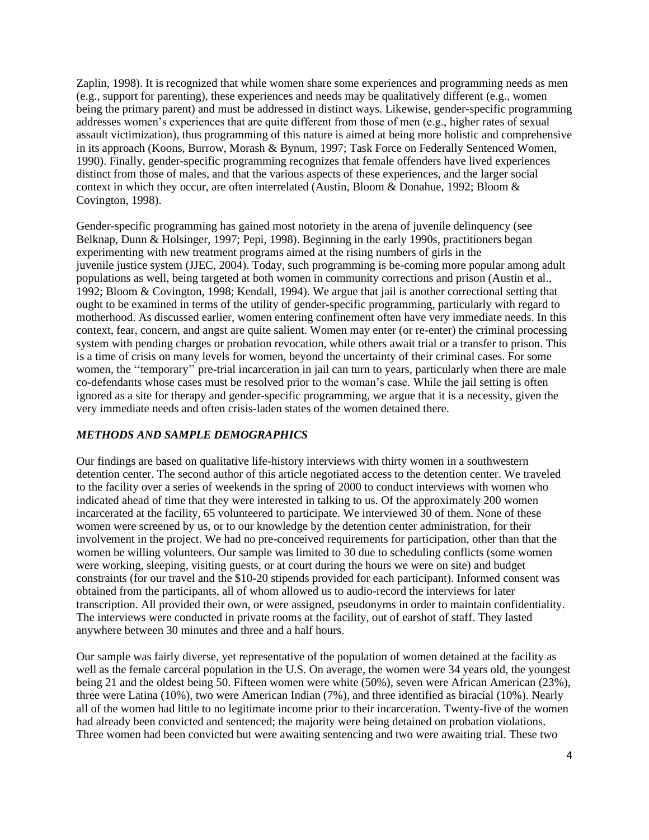Zaplin, 1998). It is recognized that while women share some experiences and programming needs as men (e.g., support for parenting), these experiences and needs may be qualitatively different (e.g., women being the primary parent) and must be addressed in distinct ways. Likewise, gender-specific programming addresses women's experiences that are quite different from those of men (e.g., higher rates of sexual assault victimization), thus programming of this nature is aimed at being more holistic and comprehensive in its approach (Koons, Burrow, Morash & Bynum, 1997; Task Force on Federally Sentenced Women, 1990). Finally, gender-specific programming recognizes that female offenders have lived experiences distinct from those of males, and that the various aspects of these experiences, and the larger social context in which they occur, are often interrelated (Austin, Bloom & Donahue, 1992; Bloom & Covington, 1998).

Gender-specific programming has gained most notoriety in the arena of juvenile delinquency (see Belknap, Dunn & Holsinger, 1997; Pepi, 1998). Beginning in the early 1990s, practitioners began experimenting with new treatment programs aimed at the rising numbers of girls in the juvenile justice system (JJEC, 2004). Today, such programming is be-coming more popular among adult populations as well, being targeted at both women in community corrections and prison (Austin et al., 1992; Bloom & Covington, 1998; Kendall, 1994). We argue that jail is another correctional setting that ought to be examined in terms of the utility of gender-specific programming, particularly with regard to motherhood. As discussed earlier, women entering confinement often have very immediate needs. In this context, fear, concern, and angst are quite salient. Women may enter (or re-enter) the criminal processing system with pending charges or probation revocation, while others await trial or a transfer to prison. This is a time of crisis on many levels for women, beyond the uncertainty of their criminal cases. For some women, the "temporary" pre-trial incarceration in jail can turn to years, particularly when there are male co-defendants whose cases must be resolved prior to the woman's case. While the jail setting is often ignored as a site for therapy and gender-specific programming, we argue that it is a necessity, given the very immediate needs and often crisis-laden states of the women detained there.

# *METHODS AND SAMPLE DEMOGRAPHICS*

Our findings are based on qualitative life-history interviews with thirty women in a southwestern detention center. The second author of this article negotiated access to the detention center. We traveled to the facility over a series of weekends in the spring of 2000 to conduct interviews with women who indicated ahead of time that they were interested in talking to us. Of the approximately 200 women incarcerated at the facility, 65 volunteered to participate. We interviewed 30 of them. None of these women were screened by us, or to our knowledge by the detention center administration, for their involvement in the project. We had no pre-conceived requirements for participation, other than that the women be willing volunteers. Our sample was limited to 30 due to scheduling conflicts (some women were working, sleeping, visiting guests, or at court during the hours we were on site) and budget constraints (for our travel and the \$10-20 stipends provided for each participant). Informed consent was obtained from the participants, all of whom allowed us to audio-record the interviews for later transcription. All provided their own, or were assigned, pseudonyms in order to maintain confidentiality. The interviews were conducted in private rooms at the facility, out of earshot of staff. They lasted anywhere between 30 minutes and three and a half hours.

Our sample was fairly diverse, yet representative of the population of women detained at the facility as well as the female carceral population in the U.S. On average, the women were 34 years old, the youngest being 21 and the oldest being 50. Fifteen women were white (50%), seven were African American (23%), three were Latina (10%), two were American Indian (7%), and three identified as biracial (10%). Nearly all of the women had little to no legitimate income prior to their incarceration. Twenty-five of the women had already been convicted and sentenced; the majority were being detained on probation violations. Three women had been convicted but were awaiting sentencing and two were awaiting trial. These two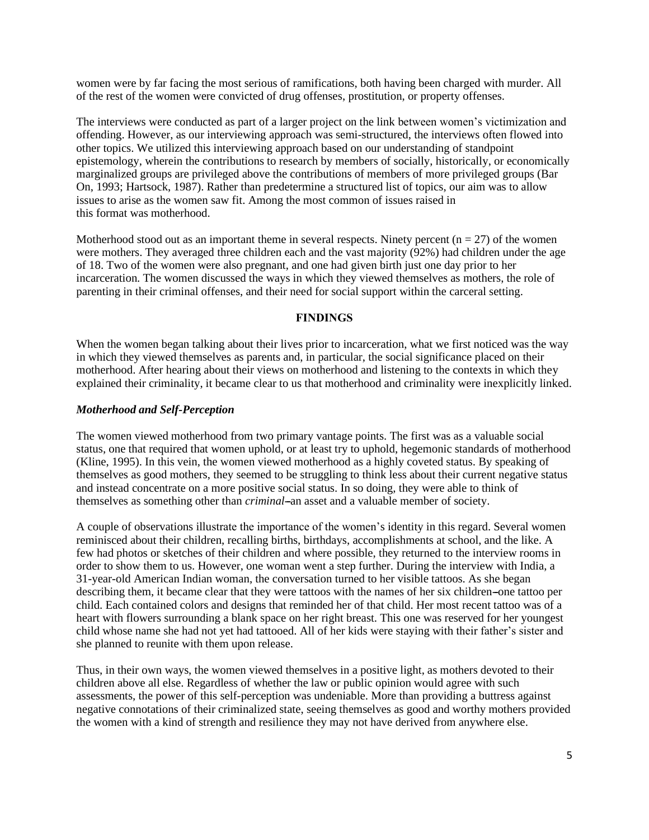women were by far facing the most serious of ramifications, both having been charged with murder. All of the rest of the women were convicted of drug offenses, prostitution, or property offenses.

The interviews were conducted as part of a larger project on the link between women's victimization and offending. However, as our interviewing approach was semi-structured, the interviews often flowed into other topics. We utilized this interviewing approach based on our understanding of standpoint epistemology, wherein the contributions to research by members of socially, historically, or economically marginalized groups are privileged above the contributions of members of more privileged groups (Bar On, 1993; Hartsock, 1987). Rather than predetermine a structured list of topics, our aim was to allow issues to arise as the women saw fit. Among the most common of issues raised in this format was motherhood.

Motherhood stood out as an important theme in several respects. Ninety percent  $(n = 27)$  of the women were mothers. They averaged three children each and the vast majority (92%) had children under the age of 18. Two of the women were also pregnant, and one had given birth just one day prior to her incarceration. The women discussed the ways in which they viewed themselves as mothers, the role of parenting in their criminal offenses, and their need for social support within the carceral setting.

# **FINDINGS**

When the women began talking about their lives prior to incarceration, what we first noticed was the way in which they viewed themselves as parents and, in particular, the social significance placed on their motherhood. After hearing about their views on motherhood and listening to the contexts in which they explained their criminality, it became clear to us that motherhood and criminality were inexplicitly linked.

#### *Motherhood and Self-Perception*

The women viewed motherhood from two primary vantage points. The first was as a valuable social status, one that required that women uphold, or at least try to uphold, hegemonic standards of motherhood (Kline, 1995). In this vein, the women viewed motherhood as a highly coveted status. By speaking of themselves as good mothers, they seemed to be struggling to think less about their current negative status and instead concentrate on a more positive social status. In so doing, they were able to think of themselves as something other than *criminal*-an asset and a valuable member of society.

A couple of observations illustrate the importance of the women's identity in this regard. Several women reminisced about their children, recalling births, birthdays, accomplishments at school, and the like. A few had photos or sketches of their children and where possible, they returned to the interview rooms in order to show them to us. However, one woman went a step further. During the interview with India, a 31-year-old American Indian woman, the conversation turned to her visible tattoos. As she began describing them, it became clear that they were tattoos with the names of her six children--one tattoo per child. Each contained colors and designs that reminded her of that child. Her most recent tattoo was of a heart with flowers surrounding a blank space on her right breast. This one was reserved for her youngest child whose name she had not yet had tattooed. All of her kids were staying with their father's sister and she planned to reunite with them upon release.

Thus, in their own ways, the women viewed themselves in a positive light, as mothers devoted to their children above all else. Regardless of whether the law or public opinion would agree with such assessments, the power of this self-perception was undeniable. More than providing a buttress against negative connotations of their criminalized state, seeing themselves as good and worthy mothers provided the women with a kind of strength and resilience they may not have derived from anywhere else.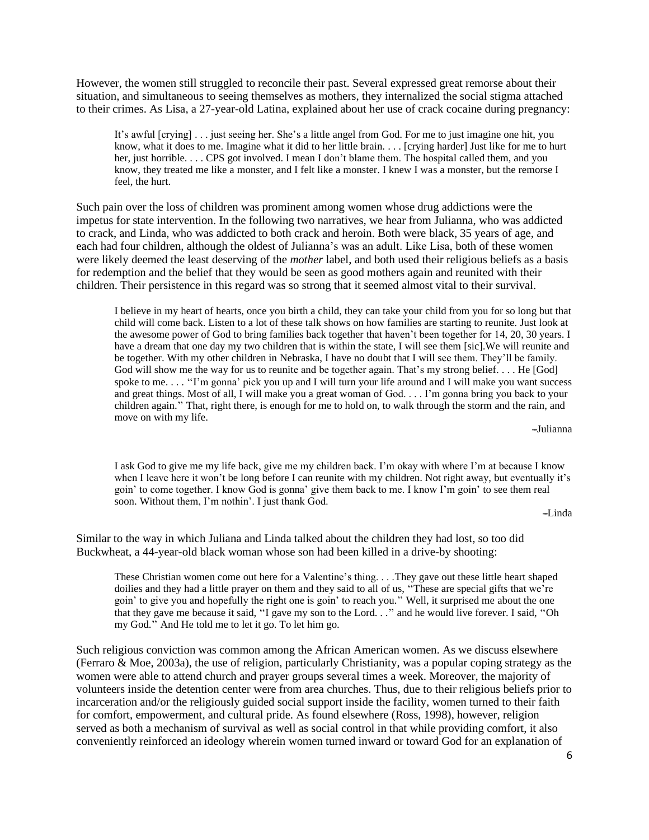However, the women still struggled to reconcile their past. Several expressed great remorse about their situation, and simultaneous to seeing themselves as mothers, they internalized the social stigma attached to their crimes. As Lisa, a 27-year-old Latina, explained about her use of crack cocaine during pregnancy:

It's awful [crying] . . . just seeing her. She's a little angel from God. For me to just imagine one hit, you know, what it does to me. Imagine what it did to her little brain. . . . [crying harder] Just like for me to hurt her, just horrible. . . . CPS got involved. I mean I don't blame them. The hospital called them, and you know, they treated me like a monster, and I felt like a monster. I knew I was a monster, but the remorse I feel, the hurt.

Such pain over the loss of children was prominent among women whose drug addictions were the impetus for state intervention. In the following two narratives, we hear from Julianna, who was addicted to crack, and Linda, who was addicted to both crack and heroin. Both were black, 35 years of age, and each had four children, although the oldest of Julianna's was an adult. Like Lisa, both of these women were likely deemed the least deserving of the *mother* label, and both used their religious beliefs as a basis for redemption and the belief that they would be seen as good mothers again and reunited with their children. Their persistence in this regard was so strong that it seemed almost vital to their survival.

I believe in my heart of hearts, once you birth a child, they can take your child from you for so long but that child will come back. Listen to a lot of these talk shows on how families are starting to reunite. Just look at the awesome power of God to bring families back together that haven't been together for 14, 20, 30 years. I have a dream that one day my two children that is within the state, I will see them [sic].We will reunite and be together. With my other children in Nebraska, I have no doubt that I will see them. They'll be family. God will show me the way for us to reunite and be together again. That's my strong belief.... He [God] spoke to me. . . . "I'm gonna' pick you up and I will turn your life around and I will make you want success and great things. Most of all, I will make you a great woman of God. . . . I'm gonna bring you back to your children again.'' That, right there, is enough for me to hold on, to walk through the storm and the rain, and move on with my life.

--Julianna

I ask God to give me my life back, give me my children back. I'm okay with where I'm at because I know when I leave here it won't be long before I can reunite with my children. Not right away, but eventually it's goin' to come together. I know God is gonna' give them back to me. I know I'm goin' to see them real soon. Without them, I'm nothin'. I just thank God.

-Linda

Similar to the way in which Juliana and Linda talked about the children they had lost, so too did Buckwheat, a 44-year-old black woman whose son had been killed in a drive-by shooting:

These Christian women come out here for a Valentine's thing. . . .They gave out these little heart shaped doilies and they had a little prayer on them and they said to all of us, ''These are special gifts that we're goin' to give you and hopefully the right one is goin' to reach you.'' Well, it surprised me about the one that they gave me because it said, ''I gave my son to the Lord. . .'' and he would live forever. I said, ''Oh my God.'' And He told me to let it go. To let him go.

Such religious conviction was common among the African American women. As we discuss elsewhere (Ferraro & Moe, 2003a), the use of religion, particularly Christianity, was a popular coping strategy as the women were able to attend church and prayer groups several times a week. Moreover, the majority of volunteers inside the detention center were from area churches. Thus, due to their religious beliefs prior to incarceration and/or the religiously guided social support inside the facility, women turned to their faith for comfort, empowerment, and cultural pride. As found elsewhere (Ross, 1998), however, religion served as both a mechanism of survival as well as social control in that while providing comfort, it also conveniently reinforced an ideology wherein women turned inward or toward God for an explanation of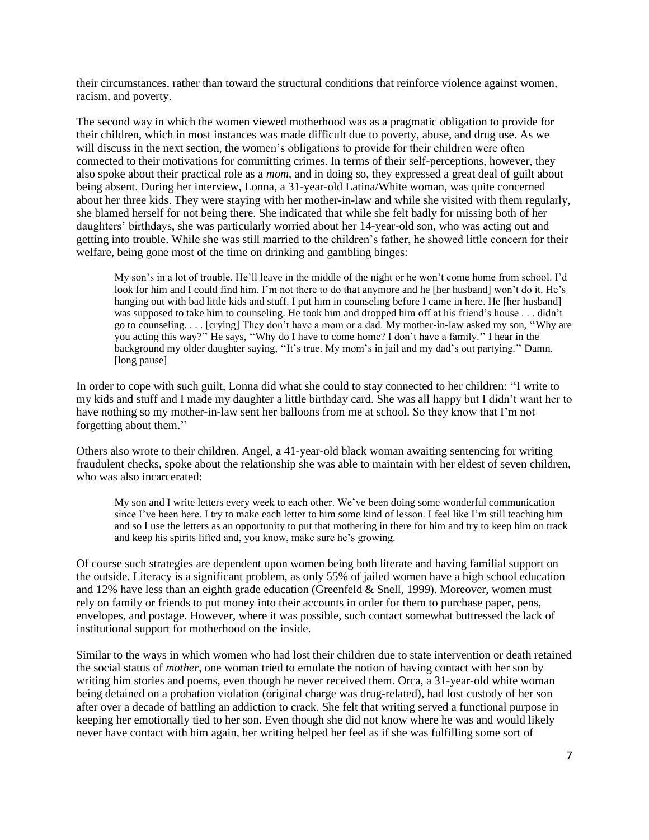their circumstances, rather than toward the structural conditions that reinforce violence against women, racism, and poverty.

The second way in which the women viewed motherhood was as a pragmatic obligation to provide for their children, which in most instances was made difficult due to poverty, abuse, and drug use. As we will discuss in the next section, the women's obligations to provide for their children were often connected to their motivations for committing crimes. In terms of their self-perceptions, however, they also spoke about their practical role as a *mom*, and in doing so, they expressed a great deal of guilt about being absent. During her interview, Lonna, a 31-year-old Latina/White woman, was quite concerned about her three kids. They were staying with her mother-in-law and while she visited with them regularly, she blamed herself for not being there. She indicated that while she felt badly for missing both of her daughters' birthdays, she was particularly worried about her 14-year-old son, who was acting out and getting into trouble. While she was still married to the children's father, he showed little concern for their welfare, being gone most of the time on drinking and gambling binges:

My son's in a lot of trouble. He'll leave in the middle of the night or he won't come home from school. I'd look for him and I could find him. I'm not there to do that anymore and he [her husband] won't do it. He's hanging out with bad little kids and stuff. I put him in counseling before I came in here. He [her husband] was supposed to take him to counseling. He took him and dropped him off at his friend's house . . . didn't go to counseling. . . . [crying] They don't have a mom or a dad. My mother-in-law asked my son, ''Why are you acting this way?'' He says, ''Why do I have to come home? I don't have a family.'' I hear in the background my older daughter saying, ''It's true. My mom's in jail and my dad's out partying.'' Damn. [long pause]

In order to cope with such guilt, Lonna did what she could to stay connected to her children: ''I write to my kids and stuff and I made my daughter a little birthday card. She was all happy but I didn't want her to have nothing so my mother-in-law sent her balloons from me at school. So they know that I'm not forgetting about them.''

Others also wrote to their children. Angel, a 41-year-old black woman awaiting sentencing for writing fraudulent checks, spoke about the relationship she was able to maintain with her eldest of seven children, who was also incarcerated:

My son and I write letters every week to each other. We've been doing some wonderful communication since I've been here. I try to make each letter to him some kind of lesson. I feel like I'm still teaching him and so I use the letters as an opportunity to put that mothering in there for him and try to keep him on track and keep his spirits lifted and, you know, make sure he's growing.

Of course such strategies are dependent upon women being both literate and having familial support on the outside. Literacy is a significant problem, as only 55% of jailed women have a high school education and 12% have less than an eighth grade education (Greenfeld & Snell, 1999). Moreover, women must rely on family or friends to put money into their accounts in order for them to purchase paper, pens, envelopes, and postage. However, where it was possible, such contact somewhat buttressed the lack of institutional support for motherhood on the inside.

Similar to the ways in which women who had lost their children due to state intervention or death retained the social status of *mother*, one woman tried to emulate the notion of having contact with her son by writing him stories and poems, even though he never received them. Orca, a 31-year-old white woman being detained on a probation violation (original charge was drug-related), had lost custody of her son after over a decade of battling an addiction to crack. She felt that writing served a functional purpose in keeping her emotionally tied to her son. Even though she did not know where he was and would likely never have contact with him again, her writing helped her feel as if she was fulfilling some sort of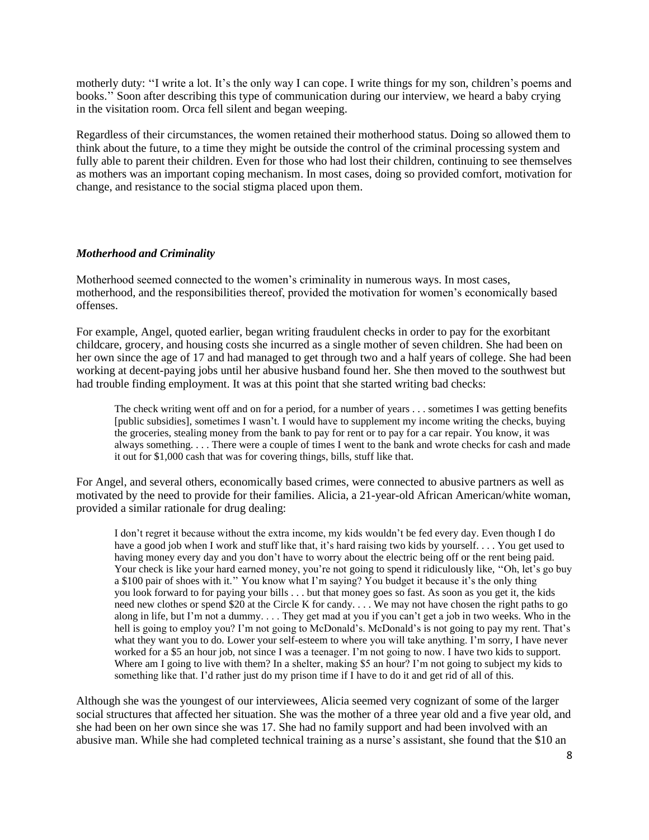motherly duty: ''I write a lot. It's the only way I can cope. I write things for my son, children's poems and books.'' Soon after describing this type of communication during our interview, we heard a baby crying in the visitation room. Orca fell silent and began weeping.

Regardless of their circumstances, the women retained their motherhood status. Doing so allowed them to think about the future, to a time they might be outside the control of the criminal processing system and fully able to parent their children. Even for those who had lost their children, continuing to see themselves as mothers was an important coping mechanism. In most cases, doing so provided comfort, motivation for change, and resistance to the social stigma placed upon them.

#### *Motherhood and Criminality*

Motherhood seemed connected to the women's criminality in numerous ways. In most cases, motherhood, and the responsibilities thereof, provided the motivation for women's economically based offenses.

For example, Angel, quoted earlier, began writing fraudulent checks in order to pay for the exorbitant childcare, grocery, and housing costs she incurred as a single mother of seven children. She had been on her own since the age of 17 and had managed to get through two and a half years of college. She had been working at decent-paying jobs until her abusive husband found her. She then moved to the southwest but had trouble finding employment. It was at this point that she started writing bad checks:

The check writing went off and on for a period, for a number of years . . . sometimes I was getting benefits [public subsidies], sometimes I wasn't. I would have to supplement my income writing the checks, buying the groceries, stealing money from the bank to pay for rent or to pay for a car repair. You know, it was always something. . . . There were a couple of times I went to the bank and wrote checks for cash and made it out for \$1,000 cash that was for covering things, bills, stuff like that.

For Angel, and several others, economically based crimes, were connected to abusive partners as well as motivated by the need to provide for their families. Alicia, a 21-year-old African American/white woman, provided a similar rationale for drug dealing:

I don't regret it because without the extra income, my kids wouldn't be fed every day. Even though I do have a good job when I work and stuff like that, it's hard raising two kids by yourself. . . . You get used to having money every day and you don't have to worry about the electric being off or the rent being paid. Your check is like your hard earned money, you're not going to spend it ridiculously like, "Oh, let's go buy a \$100 pair of shoes with it.'' You know what I'm saying? You budget it because it's the only thing you look forward to for paying your bills . . . but that money goes so fast. As soon as you get it, the kids need new clothes or spend \$20 at the Circle K for candy. . . . We may not have chosen the right paths to go along in life, but I'm not a dummy. . . . They get mad at you if you can't get a job in two weeks. Who in the hell is going to employ you? I'm not going to McDonald's. McDonald's is not going to pay my rent. That's what they want you to do. Lower your self-esteem to where you will take anything. I'm sorry, I have never worked for a \$5 an hour job, not since I was a teenager. I'm not going to now. I have two kids to support. Where am I going to live with them? In a shelter, making \$5 an hour? I'm not going to subject my kids to something like that. I'd rather just do my prison time if I have to do it and get rid of all of this.

Although she was the youngest of our interviewees, Alicia seemed very cognizant of some of the larger social structures that affected her situation. She was the mother of a three year old and a five year old, and she had been on her own since she was 17. She had no family support and had been involved with an abusive man. While she had completed technical training as a nurse's assistant, she found that the \$10 an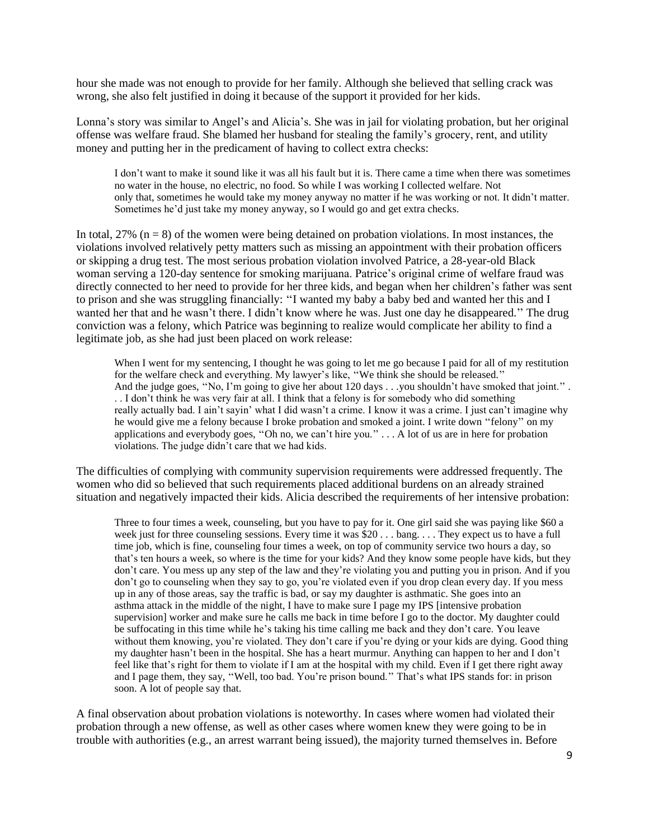hour she made was not enough to provide for her family. Although she believed that selling crack was wrong, she also felt justified in doing it because of the support it provided for her kids.

Lonna's story was similar to Angel's and Alicia's. She was in jail for violating probation, but her original offense was welfare fraud. She blamed her husband for stealing the family's grocery, rent, and utility money and putting her in the predicament of having to collect extra checks:

I don't want to make it sound like it was all his fault but it is. There came a time when there was sometimes no water in the house, no electric, no food. So while I was working I collected welfare. Not only that, sometimes he would take my money anyway no matter if he was working or not. It didn't matter. Sometimes he'd just take my money anyway, so I would go and get extra checks.

In total,  $27\%$  (n = 8) of the women were being detained on probation violations. In most instances, the violations involved relatively petty matters such as missing an appointment with their probation officers or skipping a drug test. The most serious probation violation involved Patrice, a 28-year-old Black woman serving a 120-day sentence for smoking marijuana. Patrice's original crime of welfare fraud was directly connected to her need to provide for her three kids, and began when her children's father was sent to prison and she was struggling financially: ''I wanted my baby a baby bed and wanted her this and I wanted her that and he wasn't there. I didn't know where he was. Just one day he disappeared.'' The drug conviction was a felony, which Patrice was beginning to realize would complicate her ability to find a legitimate job, as she had just been placed on work release:

When I went for my sentencing, I thought he was going to let me go because I paid for all of my restitution for the welfare check and everything. My lawyer's like, ''We think she should be released.'' And the judge goes, "No, I'm going to give her about 120 days . . . you shouldn't have smoked that joint.". . . I don't think he was very fair at all. I think that a felony is for somebody who did something really actually bad. I ain't sayin' what I did wasn't a crime. I know it was a crime. I just can't imagine why he would give me a felony because I broke probation and smoked a joint. I write down ''felony'' on my applications and everybody goes, ''Oh no, we can't hire you.'' . . . A lot of us are in here for probation violations. The judge didn't care that we had kids.

The difficulties of complying with community supervision requirements were addressed frequently. The women who did so believed that such requirements placed additional burdens on an already strained situation and negatively impacted their kids. Alicia described the requirements of her intensive probation:

Three to four times a week, counseling, but you have to pay for it. One girl said she was paying like \$60 a week just for three counseling sessions. Every time it was \$20... bang.... They expect us to have a full time job, which is fine, counseling four times a week, on top of community service two hours a day, so that's ten hours a week, so where is the time for your kids? And they know some people have kids, but they don't care. You mess up any step of the law and they're violating you and putting you in prison. And if you don't go to counseling when they say to go, you're violated even if you drop clean every day. If you mess up in any of those areas, say the traffic is bad, or say my daughter is asthmatic. She goes into an asthma attack in the middle of the night, I have to make sure I page my IPS [intensive probation supervision] worker and make sure he calls me back in time before I go to the doctor. My daughter could be suffocating in this time while he's taking his time calling me back and they don't care. You leave without them knowing, you're violated. They don't care if you're dying or your kids are dying. Good thing my daughter hasn't been in the hospital. She has a heart murmur. Anything can happen to her and I don't feel like that's right for them to violate if I am at the hospital with my child. Even if I get there right away and I page them, they say, ''Well, too bad. You're prison bound.'' That's what IPS stands for: in prison soon. A lot of people say that.

A final observation about probation violations is noteworthy. In cases where women had violated their probation through a new offense, as well as other cases where women knew they were going to be in trouble with authorities (e.g., an arrest warrant being issued), the majority turned themselves in. Before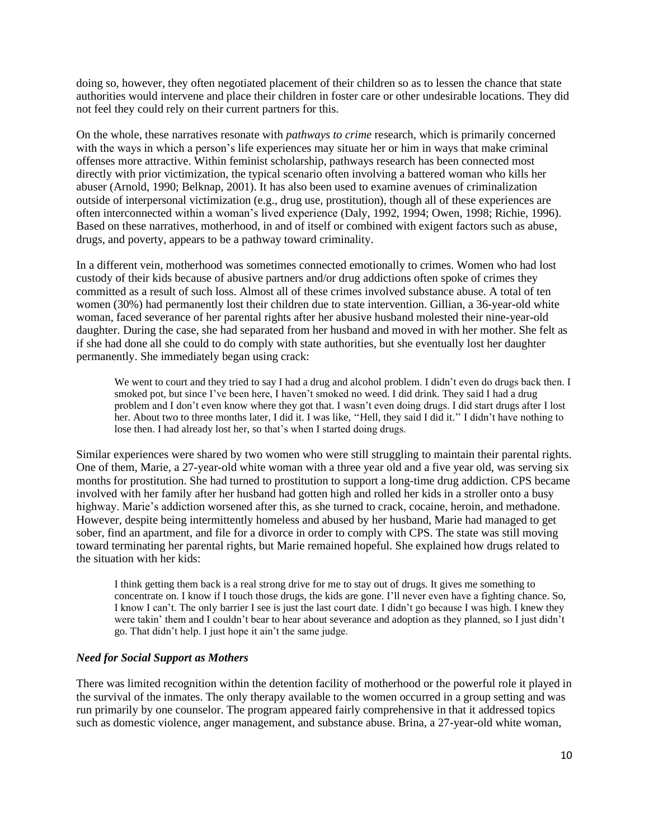doing so, however, they often negotiated placement of their children so as to lessen the chance that state authorities would intervene and place their children in foster care or other undesirable locations. They did not feel they could rely on their current partners for this.

On the whole, these narratives resonate with *pathways to crime* research, which is primarily concerned with the ways in which a person's life experiences may situate her or him in ways that make criminal offenses more attractive. Within feminist scholarship, pathways research has been connected most directly with prior victimization, the typical scenario often involving a battered woman who kills her abuser (Arnold, 1990; Belknap, 2001). It has also been used to examine avenues of criminalization outside of interpersonal victimization (e.g., drug use, prostitution), though all of these experiences are often interconnected within a woman's lived experience (Daly, 1992, 1994; Owen, 1998; Richie, 1996). Based on these narratives, motherhood, in and of itself or combined with exigent factors such as abuse, drugs, and poverty, appears to be a pathway toward criminality.

In a different vein, motherhood was sometimes connected emotionally to crimes. Women who had lost custody of their kids because of abusive partners and/or drug addictions often spoke of crimes they committed as a result of such loss. Almost all of these crimes involved substance abuse. A total of ten women (30%) had permanently lost their children due to state intervention. Gillian, a 36-year-old white woman, faced severance of her parental rights after her abusive husband molested their nine-year-old daughter. During the case, she had separated from her husband and moved in with her mother. She felt as if she had done all she could to do comply with state authorities, but she eventually lost her daughter permanently. She immediately began using crack:

We went to court and they tried to say I had a drug and alcohol problem. I didn't even do drugs back then. I smoked pot, but since I've been here, I haven't smoked no weed. I did drink. They said I had a drug problem and I don't even know where they got that. I wasn't even doing drugs. I did start drugs after I lost her. About two to three months later, I did it. I was like, "Hell, they said I did it." I didn't have nothing to lose then. I had already lost her, so that's when I started doing drugs.

Similar experiences were shared by two women who were still struggling to maintain their parental rights. One of them, Marie, a 27-year-old white woman with a three year old and a five year old, was serving six months for prostitution. She had turned to prostitution to support a long-time drug addiction. CPS became involved with her family after her husband had gotten high and rolled her kids in a stroller onto a busy highway. Marie's addiction worsened after this, as she turned to crack, cocaine, heroin, and methadone. However, despite being intermittently homeless and abused by her husband, Marie had managed to get sober, find an apartment, and file for a divorce in order to comply with CPS. The state was still moving toward terminating her parental rights, but Marie remained hopeful. She explained how drugs related to the situation with her kids:

I think getting them back is a real strong drive for me to stay out of drugs. It gives me something to concentrate on. I know if I touch those drugs, the kids are gone. I'll never even have a fighting chance. So, I know I can't. The only barrier I see is just the last court date. I didn't go because I was high. I knew they were takin' them and I couldn't bear to hear about severance and adoption as they planned, so I just didn't go. That didn't help. I just hope it ain't the same judge.

#### *Need for Social Support as Mothers*

There was limited recognition within the detention facility of motherhood or the powerful role it played in the survival of the inmates. The only therapy available to the women occurred in a group setting and was run primarily by one counselor. The program appeared fairly comprehensive in that it addressed topics such as domestic violence, anger management, and substance abuse. Brina, a 27-year-old white woman,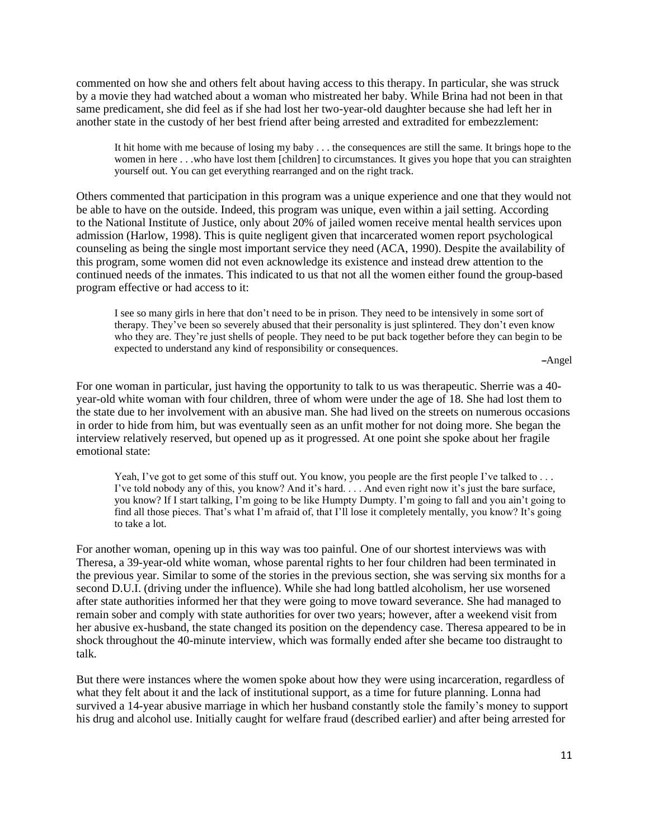commented on how she and others felt about having access to this therapy. In particular, she was struck by a movie they had watched about a woman who mistreated her baby. While Brina had not been in that same predicament, she did feel as if she had lost her two-year-old daughter because she had left her in another state in the custody of her best friend after being arrested and extradited for embezzlement:

It hit home with me because of losing my baby . . . the consequences are still the same. It brings hope to the women in here . . .who have lost them [children] to circumstances. It gives you hope that you can straighten yourself out. You can get everything rearranged and on the right track.

Others commented that participation in this program was a unique experience and one that they would not be able to have on the outside. Indeed, this program was unique, even within a jail setting. According to the National Institute of Justice, only about 20% of jailed women receive mental health services upon admission (Harlow, 1998). This is quite negligent given that incarcerated women report psychological counseling as being the single most important service they need (ACA, 1990). Despite the availability of this program, some women did not even acknowledge its existence and instead drew attention to the continued needs of the inmates. This indicated to us that not all the women either found the group-based program effective or had access to it:

I see so many girls in here that don't need to be in prison. They need to be intensively in some sort of therapy. They've been so severely abused that their personality is just splintered. They don't even know who they are. They're just shells of people. They need to be put back together before they can begin to be expected to understand any kind of responsibility or consequences.

-Angel

For one woman in particular, just having the opportunity to talk to us was therapeutic. Sherrie was a 40 year-old white woman with four children, three of whom were under the age of 18. She had lost them to the state due to her involvement with an abusive man. She had lived on the streets on numerous occasions in order to hide from him, but was eventually seen as an unfit mother for not doing more. She began the interview relatively reserved, but opened up as it progressed. At one point she spoke about her fragile emotional state:

Yeah, I've got to get some of this stuff out. You know, you people are the first people I've talked to . . . I've told nobody any of this, you know? And it's hard. . . . And even right now it's just the bare surface, you know? If I start talking, I'm going to be like Humpty Dumpty. I'm going to fall and you ain't going to find all those pieces. That's what I'm afraid of, that I'll lose it completely mentally, you know? It's going to take a lot.

For another woman, opening up in this way was too painful. One of our shortest interviews was with Theresa, a 39-year-old white woman, whose parental rights to her four children had been terminated in the previous year. Similar to some of the stories in the previous section, she was serving six months for a second D.U.I. (driving under the influence). While she had long battled alcoholism, her use worsened after state authorities informed her that they were going to move toward severance. She had managed to remain sober and comply with state authorities for over two years; however, after a weekend visit from her abusive ex-husband, the state changed its position on the dependency case. Theresa appeared to be in shock throughout the 40-minute interview, which was formally ended after she became too distraught to talk.

But there were instances where the women spoke about how they were using incarceration, regardless of what they felt about it and the lack of institutional support, as a time for future planning. Lonna had survived a 14-year abusive marriage in which her husband constantly stole the family's money to support his drug and alcohol use. Initially caught for welfare fraud (described earlier) and after being arrested for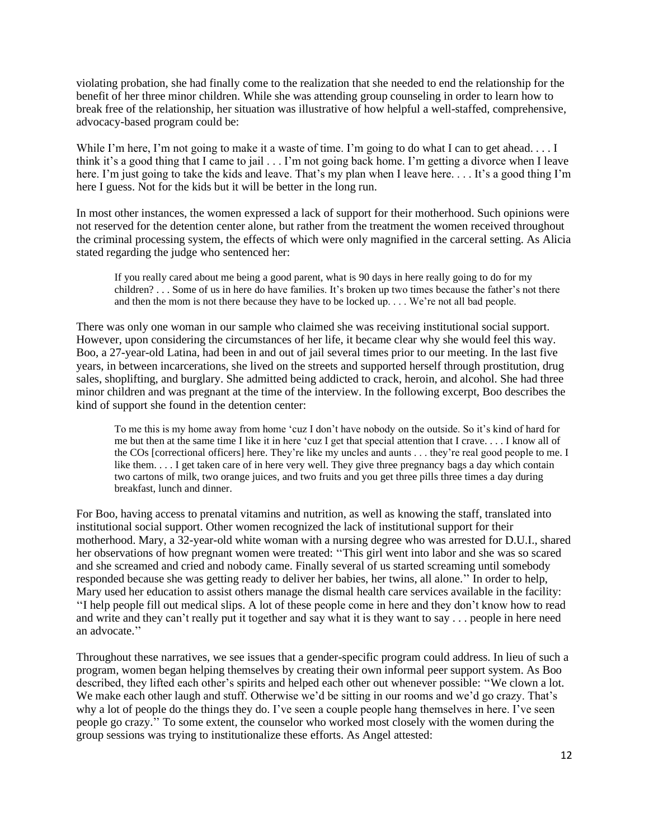violating probation, she had finally come to the realization that she needed to end the relationship for the benefit of her three minor children. While she was attending group counseling in order to learn how to break free of the relationship, her situation was illustrative of how helpful a well-staffed, comprehensive, advocacy-based program could be:

While I'm here. I'm not going to make it a waste of time. I'm going to do what I can to get ahead.... I think it's a good thing that I came to jail . . . I'm not going back home. I'm getting a divorce when I leave here. I'm just going to take the kids and leave. That's my plan when I leave here. . . . It's a good thing I'm here I guess. Not for the kids but it will be better in the long run.

In most other instances, the women expressed a lack of support for their motherhood. Such opinions were not reserved for the detention center alone, but rather from the treatment the women received throughout the criminal processing system, the effects of which were only magnified in the carceral setting. As Alicia stated regarding the judge who sentenced her:

If you really cared about me being a good parent, what is 90 days in here really going to do for my children? . . . Some of us in here do have families. It's broken up two times because the father's not there and then the mom is not there because they have to be locked up. . . . We're not all bad people.

There was only one woman in our sample who claimed she was receiving institutional social support. However, upon considering the circumstances of her life, it became clear why she would feel this way. Boo, a 27-year-old Latina, had been in and out of jail several times prior to our meeting. In the last five years, in between incarcerations, she lived on the streets and supported herself through prostitution, drug sales, shoplifting, and burglary. She admitted being addicted to crack, heroin, and alcohol. She had three minor children and was pregnant at the time of the interview. In the following excerpt, Boo describes the kind of support she found in the detention center:

To me this is my home away from home 'cuz I don't have nobody on the outside. So it's kind of hard for me but then at the same time I like it in here 'cuz I get that special attention that I crave. . . . I know all of the COs [correctional officers] here. They're like my uncles and aunts . . . they're real good people to me. I like them. . . . I get taken care of in here very well. They give three pregnancy bags a day which contain two cartons of milk, two orange juices, and two fruits and you get three pills three times a day during breakfast, lunch and dinner.

For Boo, having access to prenatal vitamins and nutrition, as well as knowing the staff, translated into institutional social support. Other women recognized the lack of institutional support for their motherhood. Mary, a 32-year-old white woman with a nursing degree who was arrested for D.U.I., shared her observations of how pregnant women were treated: ''This girl went into labor and she was so scared and she screamed and cried and nobody came. Finally several of us started screaming until somebody responded because she was getting ready to deliver her babies, her twins, all alone.'' In order to help, Mary used her education to assist others manage the dismal health care services available in the facility: ''I help people fill out medical slips. A lot of these people come in here and they don't know how to read and write and they can't really put it together and say what it is they want to say . . . people in here need an advocate.''

Throughout these narratives, we see issues that a gender-specific program could address. In lieu of such a program, women began helping themselves by creating their own informal peer support system. As Boo described, they lifted each other's spirits and helped each other out whenever possible: ''We clown a lot. We make each other laugh and stuff. Otherwise we'd be sitting in our rooms and we'd go crazy. That's why a lot of people do the things they do. I've seen a couple people hang themselves in here. I've seen people go crazy.'' To some extent, the counselor who worked most closely with the women during the group sessions was trying to institutionalize these efforts. As Angel attested: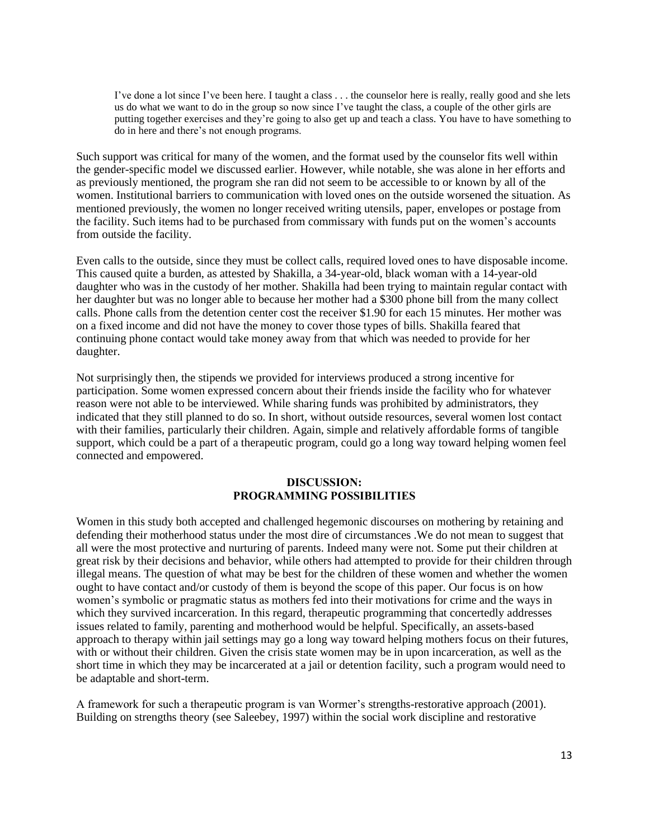I've done a lot since I've been here. I taught a class . . . the counselor here is really, really good and she lets us do what we want to do in the group so now since I've taught the class, a couple of the other girls are putting together exercises and they're going to also get up and teach a class. You have to have something to do in here and there's not enough programs.

Such support was critical for many of the women, and the format used by the counselor fits well within the gender-specific model we discussed earlier. However, while notable, she was alone in her efforts and as previously mentioned, the program she ran did not seem to be accessible to or known by all of the women. Institutional barriers to communication with loved ones on the outside worsened the situation. As mentioned previously, the women no longer received writing utensils, paper, envelopes or postage from the facility. Such items had to be purchased from commissary with funds put on the women's accounts from outside the facility.

Even calls to the outside, since they must be collect calls, required loved ones to have disposable income. This caused quite a burden, as attested by Shakilla, a 34-year-old, black woman with a 14-year-old daughter who was in the custody of her mother. Shakilla had been trying to maintain regular contact with her daughter but was no longer able to because her mother had a \$300 phone bill from the many collect calls. Phone calls from the detention center cost the receiver \$1.90 for each 15 minutes. Her mother was on a fixed income and did not have the money to cover those types of bills. Shakilla feared that continuing phone contact would take money away from that which was needed to provide for her daughter.

Not surprisingly then, the stipends we provided for interviews produced a strong incentive for participation. Some women expressed concern about their friends inside the facility who for whatever reason were not able to be interviewed. While sharing funds was prohibited by administrators, they indicated that they still planned to do so. In short, without outside resources, several women lost contact with their families, particularly their children. Again, simple and relatively affordable forms of tangible support, which could be a part of a therapeutic program, could go a long way toward helping women feel connected and empowered.

#### **DISCUSSION: PROGRAMMING POSSIBILITIES**

Women in this study both accepted and challenged hegemonic discourses on mothering by retaining and defending their motherhood status under the most dire of circumstances .We do not mean to suggest that all were the most protective and nurturing of parents. Indeed many were not. Some put their children at great risk by their decisions and behavior, while others had attempted to provide for their children through illegal means. The question of what may be best for the children of these women and whether the women ought to have contact and/or custody of them is beyond the scope of this paper. Our focus is on how women's symbolic or pragmatic status as mothers fed into their motivations for crime and the ways in which they survived incarceration. In this regard, therapeutic programming that concertedly addresses issues related to family, parenting and motherhood would be helpful. Specifically, an assets-based approach to therapy within jail settings may go a long way toward helping mothers focus on their futures, with or without their children. Given the crisis state women may be in upon incarceration, as well as the short time in which they may be incarcerated at a jail or detention facility, such a program would need to be adaptable and short-term.

A framework for such a therapeutic program is van Wormer's strengths-restorative approach (2001). Building on strengths theory (see Saleebey, 1997) within the social work discipline and restorative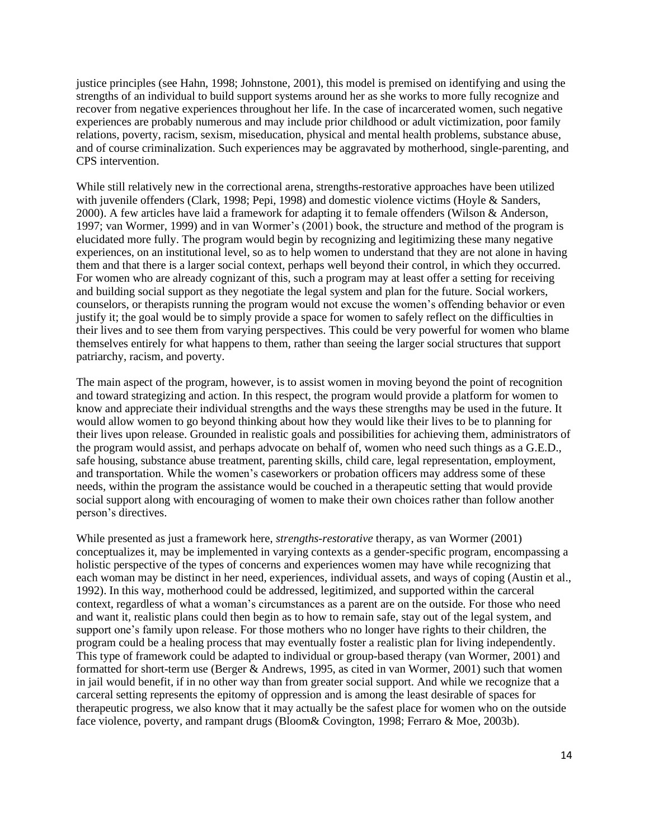justice principles (see Hahn, 1998; Johnstone, 2001), this model is premised on identifying and using the strengths of an individual to build support systems around her as she works to more fully recognize and recover from negative experiences throughout her life. In the case of incarcerated women, such negative experiences are probably numerous and may include prior childhood or adult victimization, poor family relations, poverty, racism, sexism, miseducation, physical and mental health problems, substance abuse, and of course criminalization. Such experiences may be aggravated by motherhood, single-parenting, and CPS intervention.

While still relatively new in the correctional arena, strengths-restorative approaches have been utilized with juvenile offenders (Clark, 1998; Pepi, 1998) and domestic violence victims (Hoyle & Sanders, 2000). A few articles have laid a framework for adapting it to female offenders (Wilson & Anderson, 1997; van Wormer, 1999) and in van Wormer's (2001) book, the structure and method of the program is elucidated more fully. The program would begin by recognizing and legitimizing these many negative experiences, on an institutional level, so as to help women to understand that they are not alone in having them and that there is a larger social context, perhaps well beyond their control, in which they occurred. For women who are already cognizant of this, such a program may at least offer a setting for receiving and building social support as they negotiate the legal system and plan for the future. Social workers, counselors, or therapists running the program would not excuse the women's offending behavior or even justify it; the goal would be to simply provide a space for women to safely reflect on the difficulties in their lives and to see them from varying perspectives. This could be very powerful for women who blame themselves entirely for what happens to them, rather than seeing the larger social structures that support patriarchy, racism, and poverty.

The main aspect of the program, however, is to assist women in moving beyond the point of recognition and toward strategizing and action. In this respect, the program would provide a platform for women to know and appreciate their individual strengths and the ways these strengths may be used in the future. It would allow women to go beyond thinking about how they would like their lives to be to planning for their lives upon release. Grounded in realistic goals and possibilities for achieving them, administrators of the program would assist, and perhaps advocate on behalf of, women who need such things as a G.E.D., safe housing, substance abuse treatment, parenting skills, child care, legal representation, employment, and transportation. While the women's caseworkers or probation officers may address some of these needs, within the program the assistance would be couched in a therapeutic setting that would provide social support along with encouraging of women to make their own choices rather than follow another person's directives.

While presented as just a framework here, *strengths-restorative* therapy, as van Wormer (2001) conceptualizes it, may be implemented in varying contexts as a gender-specific program, encompassing a holistic perspective of the types of concerns and experiences women may have while recognizing that each woman may be distinct in her need, experiences, individual assets, and ways of coping (Austin et al., 1992). In this way, motherhood could be addressed, legitimized, and supported within the carceral context, regardless of what a woman's circumstances as a parent are on the outside. For those who need and want it, realistic plans could then begin as to how to remain safe, stay out of the legal system, and support one's family upon release. For those mothers who no longer have rights to their children, the program could be a healing process that may eventually foster a realistic plan for living independently. This type of framework could be adapted to individual or group-based therapy (van Wormer, 2001) and formatted for short-term use (Berger & Andrews, 1995, as cited in van Wormer, 2001) such that women in jail would benefit, if in no other way than from greater social support. And while we recognize that a carceral setting represents the epitomy of oppression and is among the least desirable of spaces for therapeutic progress, we also know that it may actually be the safest place for women who on the outside face violence, poverty, and rampant drugs (Bloom& Covington, 1998; Ferraro & Moe, 2003b).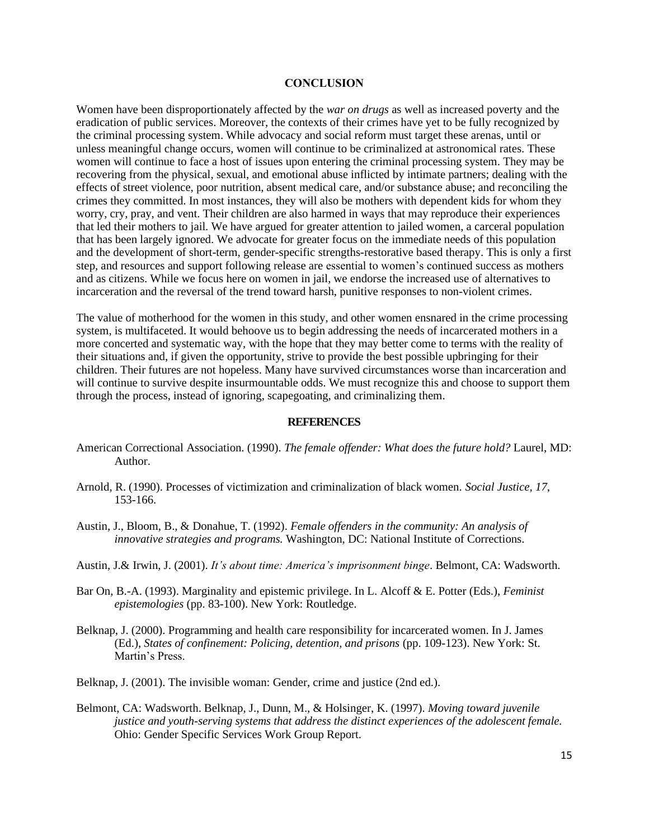#### **CONCLUSION**

Women have been disproportionately affected by the *war on drugs* as well as increased poverty and the eradication of public services. Moreover, the contexts of their crimes have yet to be fully recognized by the criminal processing system. While advocacy and social reform must target these arenas, until or unless meaningful change occurs, women will continue to be criminalized at astronomical rates. These women will continue to face a host of issues upon entering the criminal processing system. They may be recovering from the physical, sexual, and emotional abuse inflicted by intimate partners; dealing with the effects of street violence, poor nutrition, absent medical care, and/or substance abuse; and reconciling the crimes they committed. In most instances, they will also be mothers with dependent kids for whom they worry, cry, pray, and vent. Their children are also harmed in ways that may reproduce their experiences that led their mothers to jail. We have argued for greater attention to jailed women, a carceral population that has been largely ignored. We advocate for greater focus on the immediate needs of this population and the development of short-term, gender-specific strengths-restorative based therapy. This is only a first step, and resources and support following release are essential to women's continued success as mothers and as citizens. While we focus here on women in jail, we endorse the increased use of alternatives to incarceration and the reversal of the trend toward harsh, punitive responses to non-violent crimes.

The value of motherhood for the women in this study, and other women ensnared in the crime processing system, is multifaceted. It would behoove us to begin addressing the needs of incarcerated mothers in a more concerted and systematic way, with the hope that they may better come to terms with the reality of their situations and, if given the opportunity, strive to provide the best possible upbringing for their children. Their futures are not hopeless. Many have survived circumstances worse than incarceration and will continue to survive despite insurmountable odds. We must recognize this and choose to support them through the process, instead of ignoring, scapegoating, and criminalizing them.

#### **REFERENCES**

- American Correctional Association. (1990). *The female offender: What does the future hold?* Laurel, MD: Author.
- Arnold, R. (1990). Processes of victimization and criminalization of black women. *Social Justice, 17*, 153-166.
- Austin, J., Bloom, B., & Donahue, T. (1992). *Female offenders in the community: An analysis of innovative strategies and programs.* Washington, DC: National Institute of Corrections.
- Austin, J.& Irwin, J. (2001). *It's about time: America's imprisonment binge*. Belmont, CA: Wadsworth.
- Bar On, B.-A. (1993). Marginality and epistemic privilege. In L. Alcoff & E. Potter (Eds.), *Feminist epistemologies* (pp. 83-100). New York: Routledge.
- Belknap, J. (2000). Programming and health care responsibility for incarcerated women. In J. James (Ed.), *States of confinement: Policing, detention, and prisons* (pp. 109-123). New York: St. Martin's Press.
- Belknap, J. (2001). The invisible woman: Gender, crime and justice (2nd ed.).
- Belmont, CA: Wadsworth. Belknap, J., Dunn, M., & Holsinger, K. (1997). *Moving toward juvenile justice and youth-serving systems that address the distinct experiences of the adolescent female.* Ohio: Gender Specific Services Work Group Report.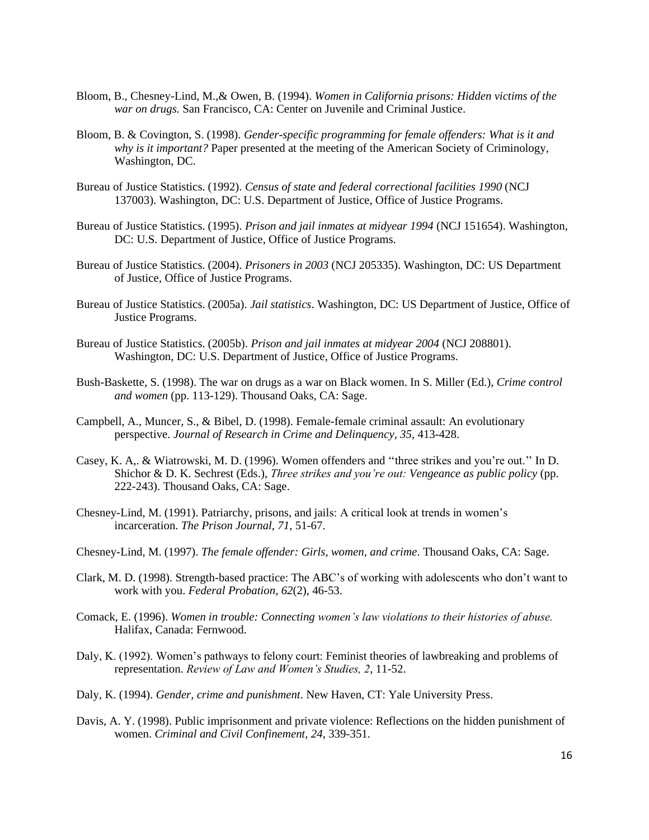- Bloom, B., Chesney-Lind, M.,& Owen, B. (1994). *Women in California prisons: Hidden victims of the war on drugs.* San Francisco, CA: Center on Juvenile and Criminal Justice.
- Bloom, B. & Covington, S. (1998). *Gender-specific programming for female offenders: What is it and why is it important?* Paper presented at the meeting of the American Society of Criminology, Washington, DC.
- Bureau of Justice Statistics. (1992). *Census of state and federal correctional facilities 1990* (NCJ 137003). Washington, DC: U.S. Department of Justice, Office of Justice Programs.
- Bureau of Justice Statistics. (1995). *Prison and jail inmates at midyear 1994* (NCJ 151654). Washington, DC: U.S. Department of Justice, Office of Justice Programs.
- Bureau of Justice Statistics. (2004). *Prisoners in 2003* (NCJ 205335). Washington, DC: US Department of Justice, Office of Justice Programs.
- Bureau of Justice Statistics. (2005a). *Jail statistics*. Washington, DC: US Department of Justice, Office of Justice Programs.
- Bureau of Justice Statistics. (2005b). *Prison and jail inmates at midyear 2004* (NCJ 208801). Washington, DC: U.S. Department of Justice, Office of Justice Programs.
- Bush-Baskette, S. (1998). The war on drugs as a war on Black women. In S. Miller (Ed.), *Crime control and women* (pp. 113-129). Thousand Oaks, CA: Sage.
- Campbell, A., Muncer, S., & Bibel, D. (1998). Female-female criminal assault: An evolutionary perspective. *Journal of Research in Crime and Delinquency, 35*, 413-428.
- Casey, K. A,. & Wiatrowski, M. D. (1996). Women offenders and ''three strikes and you're out.'' In D. Shichor & D. K. Sechrest (Eds.), *Three strikes and you're out: Vengeance as public policy* (pp. 222-243). Thousand Oaks, CA: Sage.
- Chesney-Lind, M. (1991). Patriarchy, prisons, and jails: A critical look at trends in women's incarceration. *The Prison Journal, 71,* 51-67.
- Chesney-Lind, M. (1997). *The female offender: Girls, women, and crime*. Thousand Oaks, CA: Sage.
- Clark, M. D. (1998). Strength-based practice: The ABC's of working with adolescents who don't want to work with you. *Federal Probation, 62*(2), 46-53.
- Comack, E. (1996). *Women in trouble: Connecting women's law violations to their histories of abuse.* Halifax, Canada: Fernwood.
- Daly, K. (1992). Women's pathways to felony court: Feminist theories of lawbreaking and problems of representation. *Review of Law and Women's Studies, 2*, 11-52.
- Daly, K. (1994). *Gender, crime and punishment*. New Haven, CT: Yale University Press.
- Davis, A. Y. (1998). Public imprisonment and private violence: Reflections on the hidden punishment of women. *Criminal and Civil Confinement, 24*, 339-351.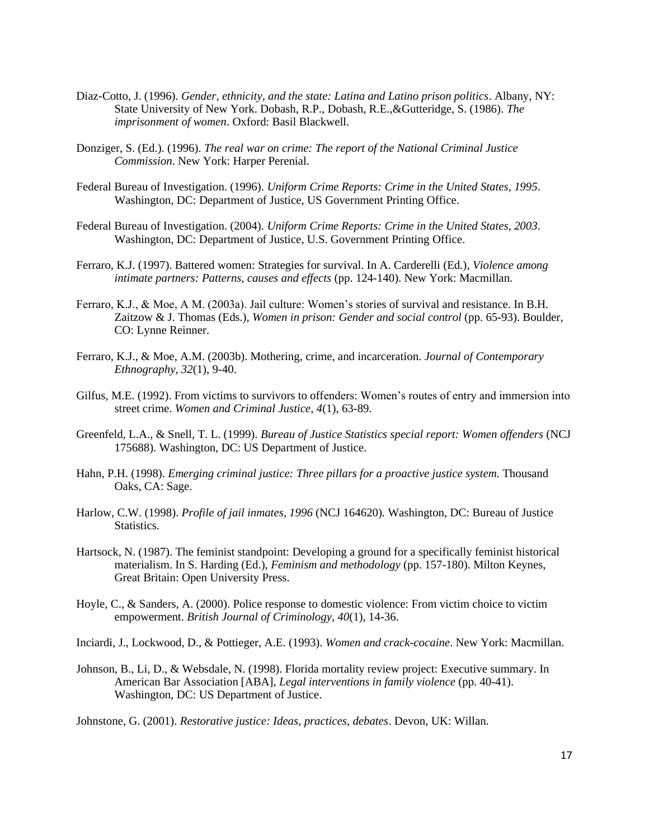- Diaz-Cotto, J. (1996). *Gender, ethnicity, and the state: Latina and Latino prison politics*. Albany, NY: State University of New York. Dobash, R.P., Dobash, R.E.,&Gutteridge, S. (1986). *The imprisonment of women*. Oxford: Basil Blackwell.
- Donziger, S. (Ed.). (1996). *The real war on crime: The report of the National Criminal Justice Commission*. New York: Harper Perenial.
- Federal Bureau of Investigation. (1996). *Uniform Crime Reports: Crime in the United States, 1995*. Washington, DC: Department of Justice, US Government Printing Office.
- Federal Bureau of Investigation. (2004). *Uniform Crime Reports: Crime in the United States, 2003*. Washington, DC: Department of Justice, U.S. Government Printing Office.
- Ferraro, K.J. (1997). Battered women: Strategies for survival. In A. Carderelli (Ed.), *Violence among intimate partners: Patterns, causes and effects* (pp. 124-140). New York: Macmillan.
- Ferraro, K.J., & Moe, A M. (2003a). Jail culture: Women's stories of survival and resistance. In B.H. Zaitzow & J. Thomas (Eds.), *Women in prison: Gender and social control* (pp. 65-93). Boulder, CO: Lynne Reinner.
- Ferraro, K.J., & Moe, A.M. (2003b). Mothering, crime, and incarceration. *Journal of Contemporary Ethnography, 32*(1), 9-40.
- Gilfus, M.E. (1992). From victims to survivors to offenders: Women's routes of entry and immersion into street crime. *Women and Criminal Justice, 4*(1), 63-89.
- Greenfeld, L.A., & Snell, T. L. (1999). *Bureau of Justice Statistics special report: Women offenders* (NCJ 175688). Washington, DC: US Department of Justice.
- Hahn, P.H. (1998). *Emerging criminal justice: Three pillars for a proactive justice system.* Thousand Oaks, CA: Sage.
- Harlow, C.W. (1998). *Profile of jail inmates, 1996* (NCJ 164620)*.* Washington, DC: Bureau of Justice Statistics.
- Hartsock, N. (1987). The feminist standpoint: Developing a ground for a specifically feminist historical materialism. In S. Harding (Ed.), *Feminism and methodology* (pp. 157-180). Milton Keynes, Great Britain: Open University Press.
- Hoyle, C., & Sanders, A. (2000). Police response to domestic violence: From victim choice to victim empowerment. *British Journal of Criminology, 40*(1), 14-36.
- Inciardi, J., Lockwood, D., & Pottieger, A.E. (1993). *Women and crack-cocaine*. New York: Macmillan.
- Johnson, B., Li, D., & Websdale, N. (1998). Florida mortality review project: Executive summary. In American Bar Association [ABA], *Legal interventions in family violence* (pp. 40-41). Washington, DC: US Department of Justice.

Johnstone, G. (2001). *Restorative justice: Ideas, practices, debates*. Devon, UK: Willan.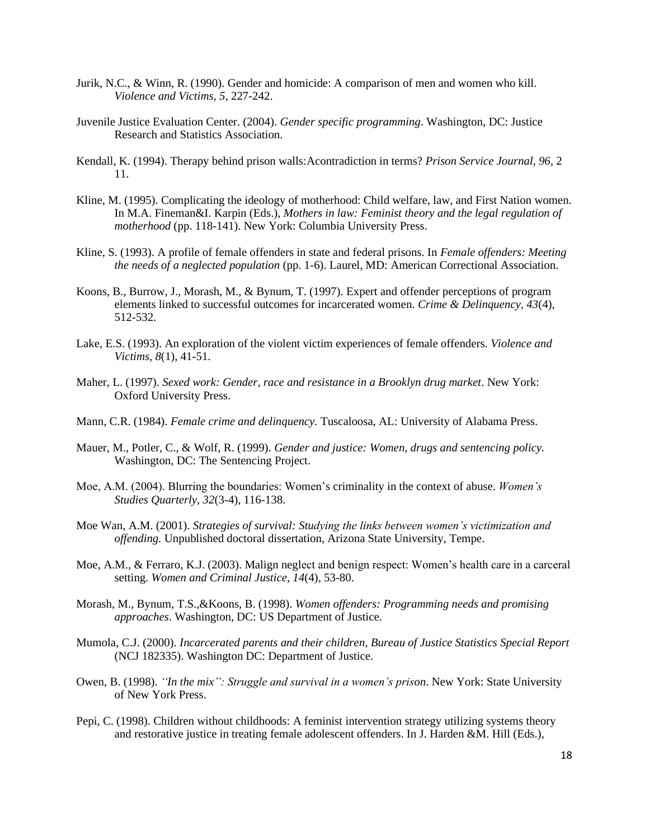- Jurik, N.C., & Winn, R. (1990). Gender and homicide: A comparison of men and women who kill. *Violence and Victims, 5*, 227-242.
- Juvenile Justice Evaluation Center. (2004). *Gender specific programming*. Washington, DC: Justice Research and Statistics Association.
- Kendall, K. (1994). Therapy behind prison walls:Acontradiction in terms? *Prison Service Journal, 96,* 2 11.
- Kline, M. (1995). Complicating the ideology of motherhood: Child welfare, law, and First Nation women. In M.A. Fineman&I. Karpin (Eds.), *Mothers in law: Feminist theory and the legal regulation of motherhood* (pp. 118-141). New York: Columbia University Press.
- Kline, S. (1993). A profile of female offenders in state and federal prisons. In *Female offenders: Meeting the needs of a neglected population* (pp. 1-6). Laurel, MD: American Correctional Association.
- Koons, B., Burrow, J., Morash, M., & Bynum, T. (1997). Expert and offender perceptions of program elements linked to successful outcomes for incarcerated women. *Crime & Delinquency, 43*(4), 512-532.
- Lake, E.S. (1993). An exploration of the violent victim experiences of female offenders. *Violence and Victims, 8*(1), 41-51.
- Maher, L. (1997). *Sexed work: Gender, race and resistance in a Brooklyn drug market*. New York: Oxford University Press.
- Mann, C.R. (1984). *Female crime and delinquency.* Tuscaloosa, AL: University of Alabama Press.
- Mauer, M., Potler, C., & Wolf, R. (1999). *Gender and justice: Women, drugs and sentencing policy.* Washington, DC: The Sentencing Project.
- Moe, A.M. (2004). Blurring the boundaries: Women's criminality in the context of abuse. *Women's Studies Quarterly, 32*(3-4), 116-138.
- Moe Wan, A.M. (2001). *Strategies of survival: Studying the links between women's victimization and offending.* Unpublished doctoral dissertation, Arizona State University, Tempe.
- Moe, A.M., & Ferraro, K.J. (2003). Malign neglect and benign respect: Women's health care in a carceral setting. *Women and Criminal Justice, 14*(4)*,* 53-80.
- Morash, M., Bynum, T.S.,&Koons, B. (1998). *Women offenders: Programming needs and promising approaches*. Washington, DC: US Department of Justice.
- Mumola, C.J. (2000). *Incarcerated parents and their children, Bureau of Justice Statistics Special Report* (NCJ 182335). Washington DC: Department of Justice.
- Owen, B. (1998). *''In the mix'': Struggle and survival in a women's prison*. New York: State University of New York Press.
- Pepi, C. (1998). Children without childhoods: A feminist intervention strategy utilizing systems theory and restorative justice in treating female adolescent offenders. In J. Harden &M. Hill (Eds.),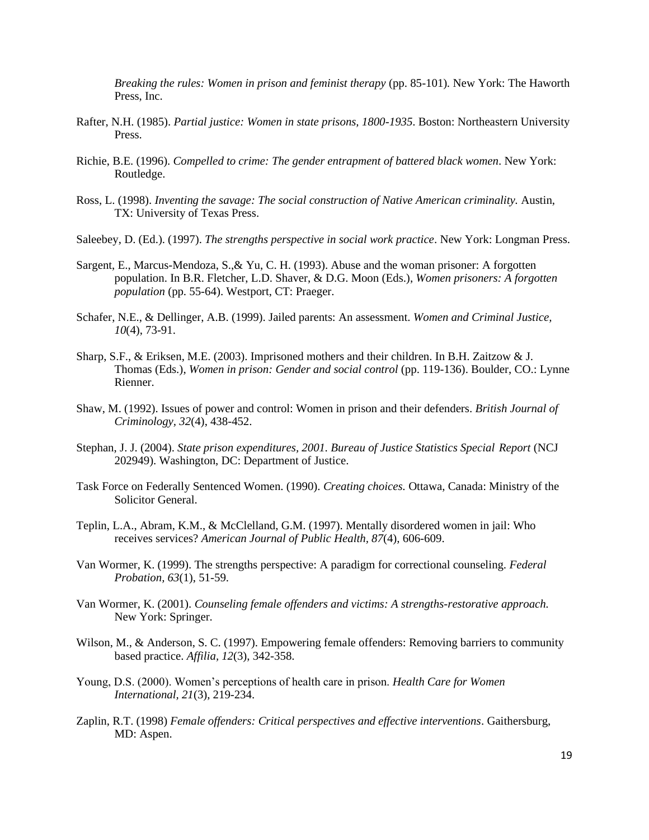*Breaking the rules: Women in prison and feminist therapy* (pp. 85-101)*.* New York: The Haworth Press, Inc.

- Rafter, N.H. (1985). *Partial justice: Women in state prisons, 1800-1935*. Boston: Northeastern University Press.
- Richie, B.E. (1996). *Compelled to crime: The gender entrapment of battered black women*. New York: Routledge.
- Ross, L. (1998). *Inventing the savage: The social construction of Native American criminality.* Austin, TX: University of Texas Press.
- Saleebey, D. (Ed.). (1997). *The strengths perspective in social work practice*. New York: Longman Press.
- Sargent, E., Marcus-Mendoza, S.,& Yu, C. H. (1993). Abuse and the woman prisoner: A forgotten population. In B.R. Fletcher, L.D. Shaver, & D.G. Moon (Eds.), *Women prisoners: A forgotten population* (pp. 55-64). Westport, CT: Praeger.
- Schafer, N.E., & Dellinger, A.B. (1999). Jailed parents: An assessment. *Women and Criminal Justice, 10*(4), 73-91.
- Sharp, S.F., & Eriksen, M.E. (2003). Imprisoned mothers and their children. In B.H. Zaitzow & J. Thomas (Eds.), *Women in prison: Gender and social control* (pp. 119-136). Boulder, CO.: Lynne Rienner.
- Shaw, M. (1992). Issues of power and control: Women in prison and their defenders. *British Journal of Criminology, 32*(4), 438-452.
- Stephan, J. J. (2004). *State prison expenditures, 2001. Bureau of Justice Statistics Special Report* (NCJ 202949). Washington, DC: Department of Justice.
- Task Force on Federally Sentenced Women. (1990). *Creating choices.* Ottawa, Canada: Ministry of the Solicitor General.
- Teplin, L.A., Abram, K.M., & McClelland, G.M. (1997). Mentally disordered women in jail: Who receives services? *American Journal of Public Health, 87*(4), 606-609.
- Van Wormer, K. (1999). The strengths perspective: A paradigm for correctional counseling. *Federal Probation, 63*(1), 51-59.
- Van Wormer, K. (2001). *Counseling female offenders and victims: A strengths-restorative approach.* New York: Springer.
- Wilson, M., & Anderson, S. C. (1997). Empowering female offenders: Removing barriers to community based practice. *Affilia, 12*(3), 342-358.
- Young, D.S. (2000). Women's perceptions of health care in prison. *Health Care for Women International, 21*(3), 219-234.
- Zaplin, R.T. (1998) *Female offenders: Critical perspectives and effective interventions*. Gaithersburg, MD: Aspen.